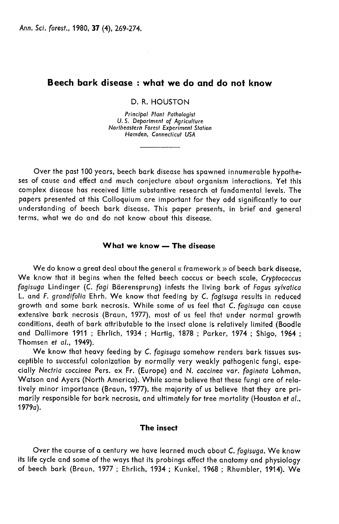Ann. Sci. forest., 1980, 37 (4), 269-274.

# Beech bark disease : what we do and do not know

 $\sim$   $\sim$ 

D. R. HOUSTON

Principal Plant Pathologist U. S. Department of Agriculture Northeastern Forest Experiment Station Hamden, Connecticut USA

Over the past 100 years, beech bark disease has spawned innumerable hypothe ses of cause and effect and much conjecture about organism interactions. Yet this complex disease has received little substantive research at fundamental levels. The papers presented at this Colloquium are important for they add significantly to our understanding of beech bark disease. This paper presents, in brief and general terms, what we do and do not know about this disease.

# What we know — The disease

We do know a great deal about the general « framework » of beech bark disease. We know that it begins when the felted beech coccus or beech scale, Cryptococcus fagisuga Lindinger (C. fagi Bderensprung) infests the living bark of Fagus sylvatica L. and F. grandifolia Ehrh. We know that feeding by C. fagisuga results in reduced growth and some bark necrosis. While some of us feel that C. fagisuga can cause extensive bark necrosis (Braun, 1977), most of us feel that under normal growth conditions, death of bark attributable to the insect alone is relatively limited (Boodle and Dallimore 1911 ; Ehrlich, 1934 ; Hartig, 1878 ; Parker, 1974 ; Shigo, 1964 ; Thomsen et al., 1949).

We know that heavy feeding by C. fagisuga somehow renders bark tissues susceptible to successful colonization by normally very weakly pathogenic fungi, especially Nectria coccinea Pers. ex Fr. (Europe) and N. coccinea var. faginala Lohman, Watson and Ayers (North America). While some believe that these fungi are of relatively minor importance (Braun, 1977), the majority of us believe that they are primarily responsible for bark necrosis, and ultimately for tree mortality (Houston et al., 1979a).

# The insect

Over the course of a century we have learned much about C. fagisuga. We know its life cycle and some of the ways that its probings affect the anatomy and physiology of beech bark (Braun, 1977 ; Ehrlich, 1934 ; Kunkel, 1968 ; Rhumbler, 1914). We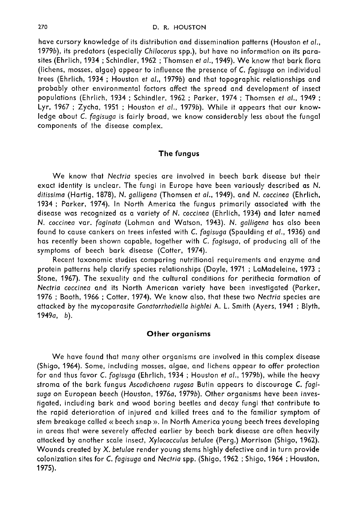have cursory knowledge of its distribution and dissemination patterns (Houston et al., 1979b), its predators (especially Chilocorus spp.), but have no information on its parasites (Ehrlich, 1934; Schindler, 1962; Thomsen et al., 1949). We know that bark flora (lichens, mosses, algae) appear to influence the presence of C. fagisuga on individual trees (Ehrlich, 1934 ; Houston et al., 1979b) and that topographic relationships and probably other environmental factors affect the spread and development of insect populations (Ehrlich, 1934 ; Schindler, 1962 ; Parker, 1974 ; Thomsen et al., 1949 ; Lyr, 1967 ; Zycha, 1951 ; Houston et al., 1979b). While it appears that our knowledge about C. fagisuga is fairly broad, we know considerably less about the fungal components of the disease complex.

### The fungus

We know that Nectria species are involved in beech bark disease but their exact identity is unclear. The fungi in Europe have been variously described as N. ditissima (Hartig, 1878), N. galligena (Thomsen et al., 1949), and N. coccinea (Ehrlich, 1934 ; Parker, 1974). In North America the fungus primarily associated with the disease was recognized as a variety of N. coccinea (Ehrlich, 1934) and later named N. coccinea var. faginata (Lohman and Watson, 1943). N. galligena has also been found to cause cankers on trees infested with C. fagisuga (Spaulding et al., 1936) and has recently been shown capable, together with C. fagisuga, of producing all of the symptoms of beech bark disease (Cotter, 1974).

Recent taxonomic studies comparing nutritional requirements and enzyme and protein patterns help clarify species relationships (Doyle, 1971 ; LaMadeleine, 1973 ; Stone, 1967). The sexuality and the cultural conditions for perithecia formation of Nectria coccinea and its North American variety have been investigated (Parker, 1976 ; Booth, 1966 ; Cotter, 1974). We know also, that these two Nectria species are attacked by the mycoparasite Gonatorrhodiella highlei A. L. Smith (Ayers, 1941 ; Blyth, 1949a, b).

# Other organisms

We have found that many other organisms are involved in this complex disease (Shigo, 1964). Some, including mosses, algae, and lichens appear to offer protection for and thus favor C. fagisuga (Ehrlich, 1934 ; Houston et al., 1979b), while the heavy stroma of the bark fungus Ascodichaena rugosa Butin appears to discourage C. fagisuga on European beech (Houston, 1976a, 1979b). Other organisms have been investigated, including bark and wood boring beetles and decay fungi that contribute to the rapid deterioration of injured and killed trees and to the familiar symptom of stem breakage called « beech snap ». In North America young beech trees developing in areas that were severely affected earlier by beech bark disease are often heavily attacked by another scale insect, Xylococculus betulae (Perg.) Morrison (Shigo, 1962). Wounds created by X. betulae render young stems highly defective and in turn provide colonization sites for C. fagisuga and Nectria spp. (Shigo, 1962 ; Shigo, 1964 ; Houston, 1975).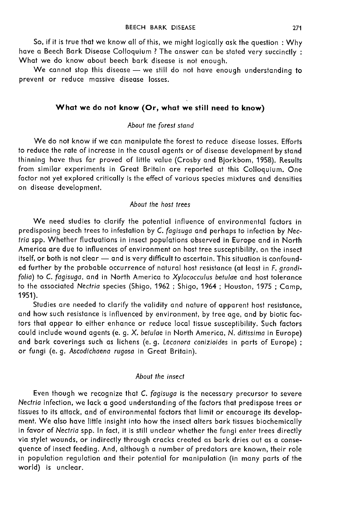So, if it is true that we know all of this, we might logically ask the question : Why have a Beech Bark Disease Colloquium ? The answer can be stated very succinctly: What we do know about beech bark disease is not enough.

We cannot stop this disease - we still do not have enough understanding to prevent or reduce massive disease losses.

# What we do not know (Or, what we still need to know)

### About the forest stand

We do not know if we can manipulate the forest to reduce disease losses. Efforts to reduce the rate of increase in the causal agents or of disease development by stand thinning have thus far proved of little value (Crosby and Bjorkbom, 1958). Results from similar experiments in Great Britain are reported at this Colloquium. One factor not yet explored critically is the effect of various species mixtures and densities on disease development.

#### About the host trees

We need studies to clarify the potential influence of environmental factors in predisposing beech trees to infestation by C. fagisuga and perhaps to infection by Nectria spp. Whether fluctuations in insect populations observed in Europe and in North America are due to influences of environment on host tree susceptibility, on the insect itself, or both is not clear - and is very difficult to ascertain. This situation is confounded further by the probable occurrence of natural host resistance (at least in F. grandifolia) to C. fagisuga, and in North America to Xylococculus betulae and host tolerance to the associated Nectria species (Shigo, 1962 ; Shigo, 1964 ; Houston, 1975 ; Camp, 1951).

Studies are needed to clarify the validity and nature of apparent host resistance, and how such resistance is influenced by environment, by tree age, and by biotic factors that appear to either enhance or reduce local tissue susceptibility. Such factors could include wound agents (e. g. X. befulae in North America, N. ditissima in Europe) and bark coverings such as lichens (e. g. Lecanora conizioides in parts of Europe) ; or fungi (e. g. Ascodichaena rugosa in Great Britain).

### About the insect

Even though we recognize that C. fagisuga is the necessary precursor to severe Nectria infection, we lack a good understanding of the factors that predispose trees or tissues to its attack, and of environmental factors that limit or encourage its development. We also have little insight into how the insect alters bark tissues biochemically in favor of Nectria spp. In fact, it is still unclear whether the fungi enter trees directly via stylet wounds, or indirectly through cracks created as bark dries out as a consequence of insect feeding. And, although a number of predators are known, their role in population regulation and their potential for manipulation (in many parts of the world) is unclear.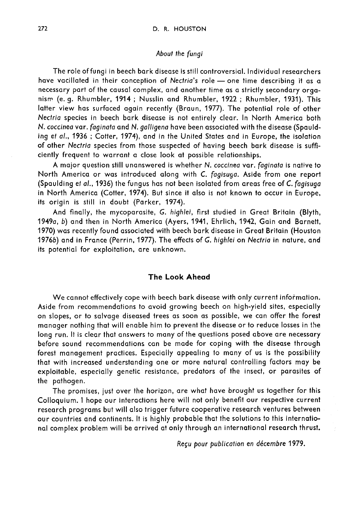### About the fungi

The role of fungi in beech bark disease is still controversial. Individual researchers have vacillated in their conception of Nectria's role - one time describing it as a necessary part of the causal complex, and another time as a strictly secondary organism (e. g. Rhumbler, 1914 ; Nusslin and Rhumbler, 1922 ; Rhumbler, 1931). This latter view has surfaced again recently (Braun, 1977). The potential role of other Nectria species in beech bark disease is not entirely clear. In North America both N. coccinea var. faginata and N. galligena have been associated with the disease (Spaulding et al., 1936 ; Cotter, 1974), and in the United States and in Europe, the isolation of other Nectria species from those suspected of having beech bark disease is sufficiently frequent to warrant a close look at possible relationships.

A major question still unanswered is whether N. coccinea var. faginata is native to North America or was introduced along with C. fagisuga. Aside from one report (Spaulding et al., 1936) the fungus has not been isolated from areas free of C. fagisuga in North America (Cotter, 1974). But since it also is not known to occur in Europe, its origin is still in doubt (Parker, 1974).

And finally, the mycoparasite, G. highlei, first studied in Great Britain (Blyth, 1949a, b) and then in North America (Ayers, 1941, Ehrlich, 1942, Gain and Barnett, 1970) was recently found associated with beech bark disease in Great Britain (Houston 19766) and in France (Perrin, 1977). The effects of G. highlei on Nectria in nature, and its potential for exploitation, are unknown.

# The Look Ahead

We cannot effectively cope with beech bark disease with only current information. Aside from recommendations to avoid growing beech on high-yield sites, especially on slopes, or to salvage diseased trees as soon as possible, we can offer the forest manager nothing that will enable him to prevent the disease or to reduce losses in the long run. It is clear that answers to many of the questions posed above are necessary before sound recommendations can be made for coping with the disease through forest management practices. Especially appealing to many of us is the possibility that with increased understanding one or more natural controlling factors may be exploitable, especially genetic resistance, predators of the insect, or parasites of the pathogen.

The promises, just over the horizon, are what have brought us together for this Colloquium. I hope our interactions here will not only benefit our respective current Lonoquion. Thoje our inferactions field with notice only better our respective current<br>research programs but will also trigger future cooperative research ventures between<br>our countries and continents. It is highly probabl our countries and continents. It is highly probable that the solutions to this international complex problem will be arrived at only through an international research thrust.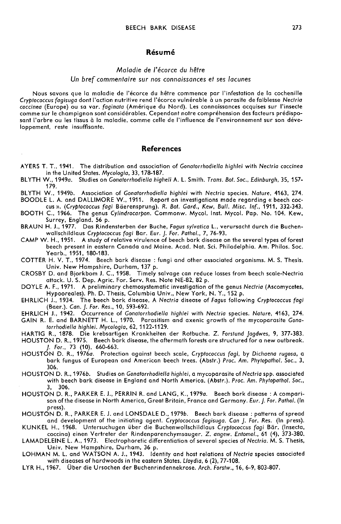### Résumé

## Maladie de l'écorce du hêtre Un bref commentaire sur nos connaissances et ses lacunes

Nous savons que la maladie de l'écorce du hêtre commence par l'infestation de la cochenille Cryptococcus fagisuga dont l'action nutritive rend l'écorce vulnérable à un parasite de faiblesse Nectria coccinea (Europe) ou sa var. faginata (Amérique du Nord). Les connaissances acquises sur l'insecte sant l'arbre ou les tissus à la maladie, comme celle de l'influence de l'environnement sur son développement, reste insuffisante.

#### References

- AYERS T. T., 1941. The distribution and association of Gonatorrhodiella highlei with Nectria coccinea<br>in the United States. Mycologia, 33, 178-187.
- BLYTH W., 1949a. Studies on Gonatorrhodiella higheli A. L. Smith. Trans. Bot. Soc., Edinburgh, 35, 157-179.
- BLYTH W., 1949b. Association of Gonatorrhodiella highlei with Nectria species. Nature, 4163, 274. BOODLE L. A. and DALLIMORE W., 1911. Report on investigations made regarding « beech coc-
- cus ». (Cryptococcus fagi Bderensprung). R. Bot. Gard., Kew, Bull. Misc. lnf., 1911, 332-343. BOOTH C., 1966. The genus Cylindrocarpon. Commonw. Mycol. Inst. Mycol. Pap. No. 104. Kew,
- BRAUN H. J., 1977. Das Rindensterben der Buche, Fagus sylvatica L., verursacht durch die Buchenwallschildlaus Cryptococcus fagi Bar. Eur. J. For. Pathol., 7, 76-93.
- CAMP W. H., 1951. A study of relative virulence of beech bark disease on the several types of forest beech present in eastern Canada and Maine. Acad. Nat. Sci. Philadelphia. Am. Philos. Soc. Yearb., 1951, 180-183.
- COTTER H. V. T., 1974. Beech bark disease : fungi and other associated organisms. M. S. Thesis.
- CROSBY D. and Bjorkbom J. C., 1958. Timely salvage can reduce losses from beech scale-Nectria attack. U. S. Dep. Agric. For. Serv. Res. Note NE-82, 82 p.
- DOYLE A. F., 1971. A preliminary chemosystematic investigation of the genus Nectria (Ascomycetes,<br>Hypooreales). Ph. D. Thesis, Columbia Univ., New York, N. Y., 152 p.
- EHRLICH J., 1934. The beech bark disease, A Nectria disease of Fagus following Cryptococcus fagi (Baer.). Can. J. For. Res., 10, 593-692.
- EHRLICH J., 1942. Occurrence of Gonatorrhodiella highlei with Nectria species. Nature, 4163, 274.
- GAIN R. E. and BARNETT H. L., 1970. Parasitism and axenic growth of the mycoparasite Gonatorrhodielia highlei. Mycologia, 62, 1122-1129.
- HARTIG R., 1878. Die krebsartigen Krankheiten der Rotbuche. Z. Forstund Jagdwes, 9, 377-383. HOUSTON D. R., 1975. Beech bark disease, the aftermath forests are structured for a new outbreak.
- J. For., 73 (10), 660-663. HOUSTON D. R., 1976a. Protection against beech scale, Cryptococcus fagi, by Dichaena rugosa, a
- bark fungus of European and American beech trees. (Abstr.) Proc. Am. Phytopathol. Soc., 3, 306.
- HOUSTON D. R., 19766. Studies on Gonatorrhodiella highlei, a mycoparasite of Nectria spp. associated with beech bark disease in England and North America. (Abstr.). Proc. Am. Phytopathol. Soc., 3, 306.
- HOUSTON D. R., PARKER E. J., PERRIN R. and LANG, K., 1979a. Beech bark disease : A compari son of the disease in North America, Great Britain, France and Germany. Eur. J. For. Pathol. (In press).
- HOUSTON D. R., PARKER E. J. and LONSDALE D., 1979b. Beech bark disease : patterns of spread<br>and development of the initiating agent. Cryptococcus fagisuga. Can J. For. Res. (In press).
- KUNKEL H., 1968. Untersuchugen über die Buchenwollschildlaus Cryptococcus fagi Bär. (Insecta, coccina) einen Vertreter der Rindenparenchymsauger. Z. angew. Entomol., 61 (4), 373-380.
- LAMADELEINE L. A., 1973. Electrophoretic differentiation of several species of Nectria. M. S. Thesis,
- LOHMAN M. L. and WATSON A. J., 1943. Identity and host relations of Nectria species associated with diseases of hardwoods in the eastern States. Lloydia, 6 (2), 77-108.
- LYR H., 1967. Über die Ursachen der Buchenrindennekrose. Arch. Forstw., 16, 6-9, 803-807.